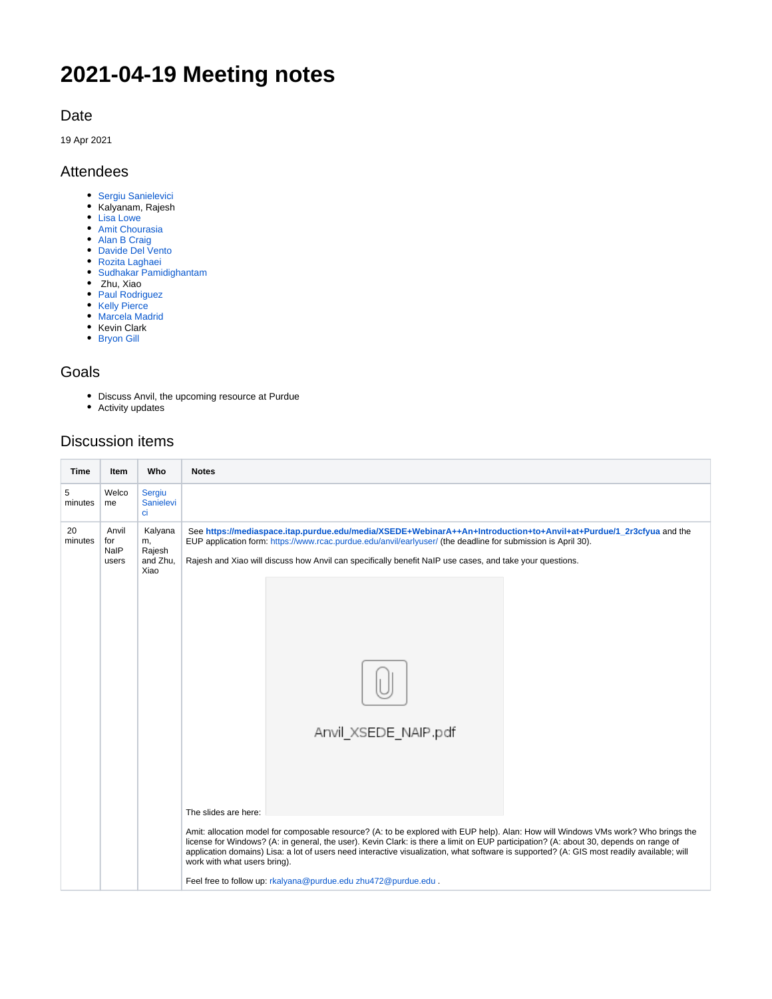# **2021-04-19 Meeting notes**

#### Date

19 Apr 2021

#### Attendees

- [Sergiu Sanielevici](https://confluence.xsede.org/display/~sergiu)
- Kalyanam, Rajesh
- [Lisa Lowe](https://confluence.xsede.org/display/~llowe)
- [Amit Chourasia](https://confluence.xsede.org/display/~achouras)
- [Alan B Craig](https://confluence.xsede.org/display/~acraig)
- [Davide Del Vento](https://confluence.xsede.org/display/~ddvento) [Rozita Laghaei](https://confluence.xsede.org/display/~rlagha)
- [Sudhakar Pamidighantam](https://confluence.xsede.org/display/~spamidig)
- Zhu, Xiao
- [Paul Rodriguez](https://confluence.xsede.org/display/~p4rodrig)
- [Kelly Pierce](https://confluence.xsede.org/display/~kpierce)
- [Marcela Madrid](https://confluence.xsede.org/display/~mmadrid)
- Kevin Clark ● [Bryon Gill](https://confluence.xsede.org/display/~bgill)
- 

## Goals

- Discuss Anvil, the upcoming resource at Purdue
- Activity updates

### Discussion items

| <b>Time</b>   | Item                          | Who                                         | <b>Notes</b>                                                                                                                                                                                                                                                                                                                                                                                                                                                                                                                                        |
|---------------|-------------------------------|---------------------------------------------|-----------------------------------------------------------------------------------------------------------------------------------------------------------------------------------------------------------------------------------------------------------------------------------------------------------------------------------------------------------------------------------------------------------------------------------------------------------------------------------------------------------------------------------------------------|
| 5<br>minutes  | Welco<br>me                   | Sergiu<br>Sanielevi<br>ci                   |                                                                                                                                                                                                                                                                                                                                                                                                                                                                                                                                                     |
| 20<br>minutes | Anvil<br>for<br>NaIP<br>users | Kalyana<br>m,<br>Rajesh<br>and Zhu,<br>Xiao | See https://mediaspace.itap.purdue.edu/media/XSEDE+WebinarA++An+Introduction+to+Anvil+at+Purdue/1_2r3cfyua and the<br>EUP application form: https://www.rcac.purdue.edu/anvil/earlyuser/ (the deadline for submission is April 30).<br>Rajesh and Xiao will discuss how Anvil can specifically benefit NaIP use cases, and take your questions.                                                                                                                                                                                                     |
|               |                               |                                             |                                                                                                                                                                                                                                                                                                                                                                                                                                                                                                                                                     |
|               |                               |                                             | Anvil XSEDE NAIP pdf                                                                                                                                                                                                                                                                                                                                                                                                                                                                                                                                |
|               |                               |                                             | The slides are here:<br>Amit: allocation model for composable resource? (A: to be explored with EUP help). Alan: How will Windows VMs work? Who brings the<br>license for Windows? (A: in general, the user). Kevin Clark: is there a limit on EUP participation? (A: about 30, depends on range of<br>application domains) Lisa: a lot of users need interactive visualization, what software is supported? (A: GIS most readily available; will<br>work with what users bring).<br>Feel free to follow up: rkalyana@purdue.edu zhu472@purdue.edu. |